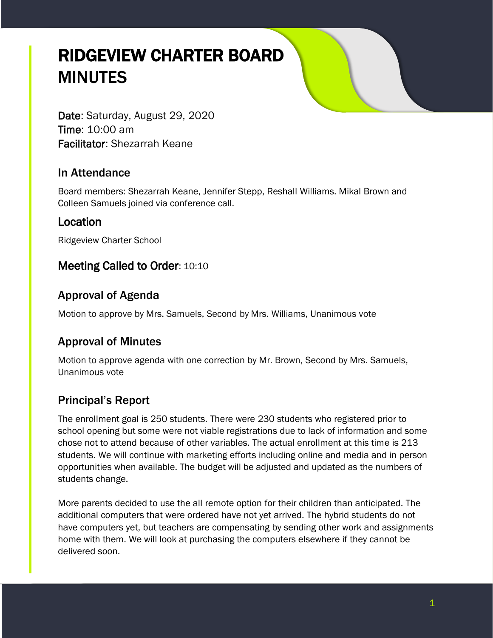# RIDGEVIEW CHARTER BOARD **MINUTES**

Date: Saturday, August 29, 2020 Time: 10:00 am Facilitator: Shezarrah Keane

#### In Attendance

Board members: Shezarrah Keane, Jennifer Stepp, Reshall Williams. Mikal Brown and Colleen Samuels joined via conference call.

#### Location

Ridgeview Charter School

#### Meeting Called to Order: 10:10

## Approval of Agenda

Motion to approve by Mrs. Samuels, Second by Mrs. Williams, Unanimous vote

# Approval of Minutes

Motion to approve agenda with one correction by Mr. Brown, Second by Mrs. Samuels, Unanimous vote

# Principal's Report

The enrollment goal is 250 students. There were 230 students who registered prior to school opening but some were not viable registrations due to lack of information and some chose not to attend because of other variables. The actual enrollment at this time is 213 students. We will continue with marketing efforts including online and media and in person opportunities when available. The budget will be adjusted and updated as the numbers of students change.

More parents decided to use the all remote option for their children than anticipated. The additional computers that were ordered have not yet arrived. The hybrid students do not have computers yet, but teachers are compensating by sending other work and assignments home with them. We will look at purchasing the computers elsewhere if they cannot be delivered soon.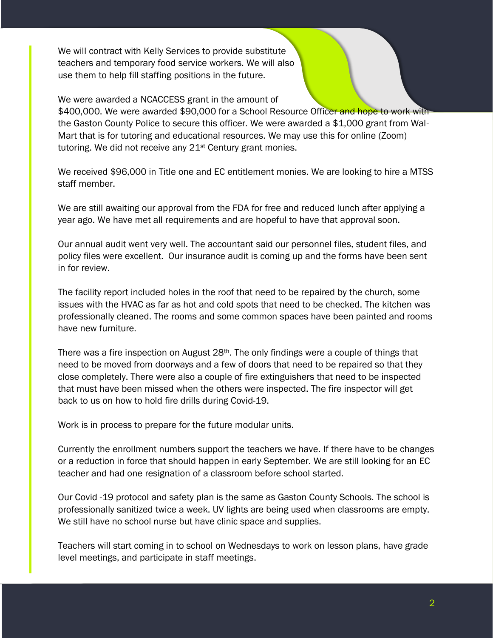We will contract with Kelly Services to provide substitute teachers and temporary food service workers. We will also use them to help fill staffing positions in the future.

We were awarded a NCACCESS grant in the amount of \$400,000. We were awarded \$90,000 for a School Resource Officer and hope to work with the Gaston County Police to secure this officer. We were awarded a \$1,000 grant from Wal-Mart that is for tutoring and educational resources. We may use this for online (Zoom) tutoring. We did not receive any 21st Century grant monies.

We received \$96,000 in Title one and EC entitlement monies. We are looking to hire a MTSS staff member.

We are still awaiting our approval from the FDA for free and reduced lunch after applying a year ago. We have met all requirements and are hopeful to have that approval soon.

Our annual audit went very well. The accountant said our personnel files, student files, and policy files were excellent. Our insurance audit is coming up and the forms have been sent in for review.

The facility report included holes in the roof that need to be repaired by the church, some issues with the HVAC as far as hot and cold spots that need to be checked. The kitchen was professionally cleaned. The rooms and some common spaces have been painted and rooms have new furniture.

There was a fire inspection on August 28<sup>th</sup>. The only findings were a couple of things that need to be moved from doorways and a few of doors that need to be repaired so that they close completely. There were also a couple of fire extinguishers that need to be inspected that must have been missed when the others were inspected. The fire inspector will get back to us on how to hold fire drills during Covid-19.

Work is in process to prepare for the future modular units.

Currently the enrollment numbers support the teachers we have. If there have to be changes or a reduction in force that should happen in early September. We are still looking for an EC teacher and had one resignation of a classroom before school started.

Our Covid -19 protocol and safety plan is the same as Gaston County Schools. The school is professionally sanitized twice a week. UV lights are being used when classrooms are empty. We still have no school nurse but have clinic space and supplies.

Teachers will start coming in to school on Wednesdays to work on lesson plans, have grade level meetings, and participate in staff meetings.